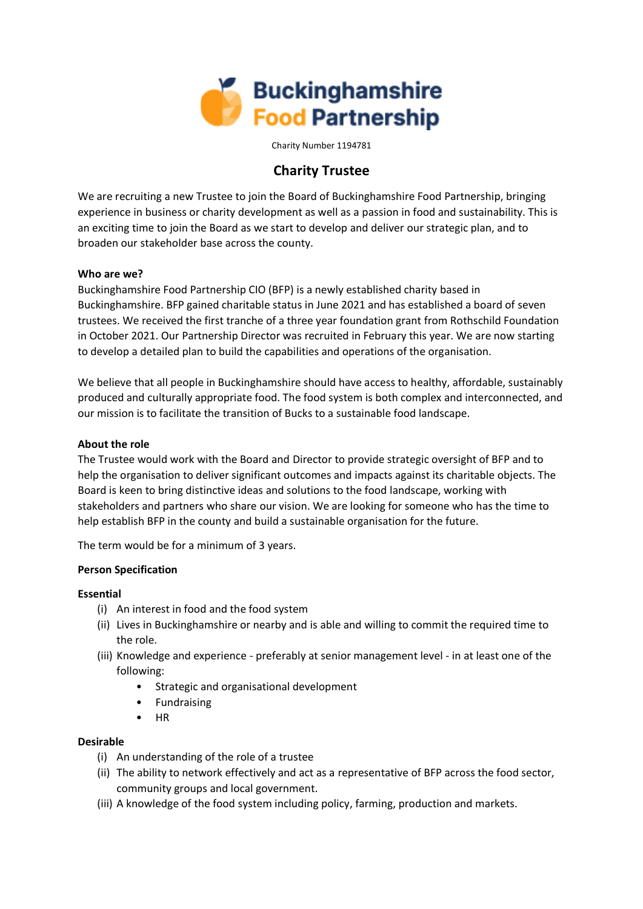

Charity Number 1194781

# **Charity Trustee**

We are recruiting a new Trustee to join the Board of Buckinghamshire Food Partnership, bringing experience in business or charity development as well as a passion in food and sustainability. This is an exciting time to join the Board as we start to develop and deliver our strategic plan, and to broaden our stakeholder base across the county.

# **Who are we?**

Buckinghamshire Food Partnership CIO (BFP) is a newly established charity based in Buckinghamshire. BFP gained charitable status in June 2021 and has established a board of seven trustees. We received the first tranche of a three year foundation grant from Rothschild Foundation in October 2021. Our Partnership Director was recruited in February this year. We are now starting to develop a detailed plan to build the capabilities and operations of the organisation.

We believe that all people in Buckinghamshire should have access to healthy, affordable, sustainably produced and culturally appropriate food. The food system is both complex and interconnected, and our mission is to facilitate the transition of Bucks to a sustainable food landscape.

# **About the role**

The Trustee would work with the Board and Director to provide strategic oversight of BFP and to help the organisation to deliver significant outcomes and impacts against its charitable objects. The Board is keen to bring distinctive ideas and solutions to the food landscape, working with stakeholders and partners who share our vision. We are looking for someone who has the time to help establish BFP in the county and build a sustainable organisation for the future.

The term would be for a minimum of 3 years.

# **Person Specification**

# **Essential**

- (i) An interest in food and the food system
- (ii) Lives in Buckinghamshire or nearby and is able and willing to commit the required time to the role.
- (iii) Knowledge and experience preferably at senior management level in at least one of the following:
	- Strategic and organisational development
	- **Fundraising**
	- HR

# **Desirable**

- (i) An understanding of the role of a trustee
- (ii) The ability to network effectively and act as a representative of BFP across the food sector, community groups and local government.
- (iii) A knowledge of the food system including policy, farming, production and markets.